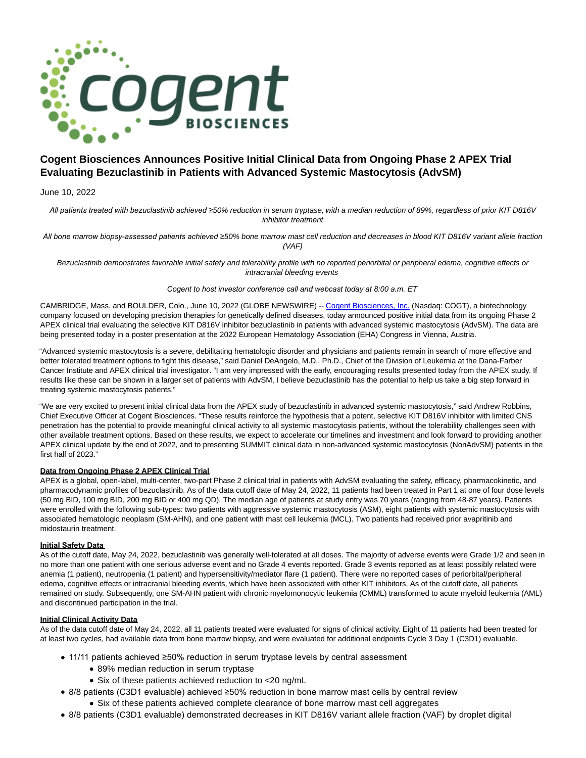

# **Cogent Biosciences Announces Positive Initial Clinical Data from Ongoing Phase 2 APEX Trial Evaluating Bezuclastinib in Patients with Advanced Systemic Mastocytosis (AdvSM)**

June 10, 2022

*All patients treated with bezuclastinib achieved ≥*50% reduction in serum tryptase, with a median reduction of 89%, regardless of prior KIT D816V inhibitor treatment

*All bone marrow biopsy-assessed patients achieved ≥*50% bone marrow mast cell reduction and decreases in blood KIT D816V variant allele fraction (VAF)

Bezuclastinib demonstrates favorable initial safety and tolerability profile with no reported periorbital or peripheral edema, cognitive effects or intracranial bleeding events

## *Cogent to host investor conference call and webcast today at 8:00 a.m. ET*

CAMBRIDGE, Mass. and BOULDER, Colo., June 10, 2022 (GLOBE NEWSWIRE) -- [Cogent Biosciences, Inc. \(](https://www.globenewswire.com/Tracker?data=bgwdlfDNLpZaRatylBv0EDuxHpCM-ElZo4wZkzZZtf5PF1shP_RnU_TJwT5jKxROEH0JtcLqGAI341lm6yot4acTiag09FdbdYsPEO3rEFM=)Nasdaq: COGT), a biotechnology company focused on developing precision therapies for genetically defined diseases, today announced positive initial data from its ongoing Phase 2 APEX clinical trial evaluating the selective KIT D816V inhibitor bezuclastinib in patients with advanced systemic mastocytosis (AdvSM). The data are being presented today in a poster presentation at the 2022 European Hematology Association (EHA) Congress in Vienna, Austria.

"Advanced systemic mastocytosis is a severe, debilitating hematologic disorder and physicians and patients remain in search of more effective and better tolerated treatment options to fight this disease," said Daniel DeAngelo, M.D., Ph.D., Chief of the Division of Leukemia at the Dana-Farber Cancer Institute and APEX clinical trial investigator. "I am very impressed with the early, encouraging results presented today from the APEX study. If results like these can be shown in a larger set of patients with AdvSM, I believe bezuclastinib has the potential to help us take a big step forward in treating systemic mastocytosis patients."

"We are very excited to present initial clinical data from the APEX study of bezuclastinib in advanced systemic mastocytosis," said Andrew Robbins, Chief Executive Officer at Cogent Biosciences. "These results reinforce the hypothesis that a potent, selective KIT D816V inhibitor with limited CNS penetration has the potential to provide meaningful clinical activity to all systemic mastocytosis patients, without the tolerability challenges seen with other available treatment options. Based on these results, we expect to accelerate our timelines and investment and look forward to providing another APEX clinical update by the end of 2022, and to presenting SUMMIT clinical data in non-advanced systemic mastocytosis (NonAdvSM) patients in the first half of 2023."

# **Data from Ongoing Phase 2 APEX Clinical Trial**

APEX is a global, open-label, multi-center, two-part Phase 2 clinical trial in patients with AdvSM evaluating the safety, efficacy, pharmacokinetic, and pharmacodynamic profiles of bezuclastinib. As of the data cutoff date of May 24, 2022, 11 patients had been treated in Part 1 at one of four dose levels (50 mg BID, 100 mg BID, 200 mg BID or 400 mg QD). The median age of patients at study entry was 70 years (ranging from 48-87 years). Patients were enrolled with the following sub-types: two patients with aggressive systemic mastocytosis (ASM), eight patients with systemic mastocytosis with associated hematologic neoplasm (SM-AHN), and one patient with mast cell leukemia (MCL). Two patients had received prior avapritinib and midostaurin treatment.

## **Initial Safety Data**

As of the cutoff date, May 24, 2022, bezuclastinib was generally well-tolerated at all doses. The majority of adverse events were Grade 1/2 and seen in no more than one patient with one serious adverse event and no Grade 4 events reported. Grade 3 events reported as at least possibly related were anemia (1 patient), neutropenia (1 patient) and hypersensitivity/mediator flare (1 patient). There were no reported cases of periorbital/peripheral edema, cognitive effects or intracranial bleeding events, which have been associated with other KIT inhibitors. As of the cutoff date, all patients remained on study. Subsequently, one SM-AHN patient with chronic myelomonocytic leukemia (CMML) transformed to acute myeloid leukemia (AML) and discontinued participation in the trial.

## **Initial Clinical Activity Data**

As of the data cutoff date of May 24, 2022, all 11 patients treated were evaluated for signs of clinical activity. Eight of 11 patients had been treated for at least two cycles, had available data from bone marrow biopsy, and were evaluated for additional endpoints Cycle 3 Day 1 (C3D1) evaluable.

- 11/11 patients achieved ≥50% reduction in serum tryptase levels by central assessment
	- 89% median reduction in serum tryptase
	- Six of these patients achieved reduction to <20 ng/mL
- 8/8 patients (C3D1 evaluable) achieved ≥50% reduction in bone marrow mast cells by central review
	- Six of these patients achieved complete clearance of bone marrow mast cell aggregates
- 8/8 patients (C3D1 evaluable) demonstrated decreases in KIT D816V variant allele fraction (VAF) by droplet digital